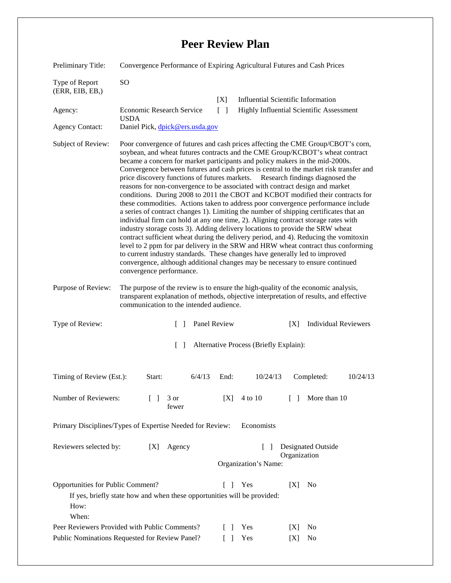## **Peer Review Plan**

| Preliminary Title:                                                                                                                                                       | Convergence Performance of Expiring Agricultural Futures and Cash Prices                                                                                                                                                                                                                                                                                                                                                                                                                                                                                                                                                                                                                                                                                                                                                                                                                                                                                                                                                                                                                                                                                                                                                                                                                                                     |                        |                                                                                              |
|--------------------------------------------------------------------------------------------------------------------------------------------------------------------------|------------------------------------------------------------------------------------------------------------------------------------------------------------------------------------------------------------------------------------------------------------------------------------------------------------------------------------------------------------------------------------------------------------------------------------------------------------------------------------------------------------------------------------------------------------------------------------------------------------------------------------------------------------------------------------------------------------------------------------------------------------------------------------------------------------------------------------------------------------------------------------------------------------------------------------------------------------------------------------------------------------------------------------------------------------------------------------------------------------------------------------------------------------------------------------------------------------------------------------------------------------------------------------------------------------------------------|------------------------|----------------------------------------------------------------------------------------------|
| Type of Report<br>(ERR, EIB, EB, )                                                                                                                                       | SO <sub>1</sub>                                                                                                                                                                                                                                                                                                                                                                                                                                                                                                                                                                                                                                                                                                                                                                                                                                                                                                                                                                                                                                                                                                                                                                                                                                                                                                              |                        |                                                                                              |
| Agency:                                                                                                                                                                  | Economic Research Service<br><b>USDA</b>                                                                                                                                                                                                                                                                                                                                                                                                                                                                                                                                                                                                                                                                                                                                                                                                                                                                                                                                                                                                                                                                                                                                                                                                                                                                                     | [X]<br>$\lceil \rceil$ | <b>Influential Scientific Information</b><br><b>Highly Influential Scientific Assessment</b> |
| <b>Agency Contact:</b>                                                                                                                                                   | Daniel Pick, dpick@ers.usda.gov                                                                                                                                                                                                                                                                                                                                                                                                                                                                                                                                                                                                                                                                                                                                                                                                                                                                                                                                                                                                                                                                                                                                                                                                                                                                                              |                        |                                                                                              |
| Subject of Review:                                                                                                                                                       | Poor convergence of futures and cash prices affecting the CME Group/CBOT's corn,<br>soybean, and wheat futures contracts and the CME Group/KCBOT's wheat contract<br>became a concern for market participants and policy makers in the mid-2000s.<br>Convergence between futures and cash prices is central to the market risk transfer and<br>price discovery functions of futures markets. Research findings diagnosed the<br>reasons for non-convergence to be associated with contract design and market<br>conditions. During 2008 to 2011 the CBOT and KCBOT modified their contracts for<br>these commodities. Actions taken to address poor convergence performance include<br>a series of contract changes 1). Limiting the number of shipping certificates that an<br>individual firm can hold at any one time, 2). Aligning contract storage rates with<br>industry storage costs 3). Adding delivery locations to provide the SRW wheat<br>contract sufficient wheat during the delivery period, and 4). Reducing the vomitoxin<br>level to 2 ppm for par delivery in the SRW and HRW wheat contract thus conforming<br>to current industry standards. These changes have generally led to improved<br>convergence, although additional changes may be necessary to ensure continued<br>convergence performance. |                        |                                                                                              |
| Purpose of Review:                                                                                                                                                       | The purpose of the review is to ensure the high-quality of the economic analysis,<br>transparent explanation of methods, objective interpretation of results, and effective<br>communication to the intended audience.                                                                                                                                                                                                                                                                                                                                                                                                                                                                                                                                                                                                                                                                                                                                                                                                                                                                                                                                                                                                                                                                                                       |                        |                                                                                              |
| Type of Review:                                                                                                                                                          | Panel Review<br>$\lceil$ $\rceil$                                                                                                                                                                                                                                                                                                                                                                                                                                                                                                                                                                                                                                                                                                                                                                                                                                                                                                                                                                                                                                                                                                                                                                                                                                                                                            |                        | <b>Individual Reviewers</b><br>[X]                                                           |
| Alternative Process (Briefly Explain):<br>$\mathbf{L}$                                                                                                                   |                                                                                                                                                                                                                                                                                                                                                                                                                                                                                                                                                                                                                                                                                                                                                                                                                                                                                                                                                                                                                                                                                                                                                                                                                                                                                                                              |                        |                                                                                              |
| Timing of Review (Est.):                                                                                                                                                 | 6/4/13<br>Start:                                                                                                                                                                                                                                                                                                                                                                                                                                                                                                                                                                                                                                                                                                                                                                                                                                                                                                                                                                                                                                                                                                                                                                                                                                                                                                             | End:<br>10/24/13       | Completed:<br>10/24/13                                                                       |
| Number of Reviewers:                                                                                                                                                     | $\mathbb{R}$<br>3 or<br>fewer                                                                                                                                                                                                                                                                                                                                                                                                                                                                                                                                                                                                                                                                                                                                                                                                                                                                                                                                                                                                                                                                                                                                                                                                                                                                                                | 4 to 10<br>[X]         | More than 10<br>$\Box$                                                                       |
| Primary Disciplines/Types of Expertise Needed for Review:<br>Economists                                                                                                  |                                                                                                                                                                                                                                                                                                                                                                                                                                                                                                                                                                                                                                                                                                                                                                                                                                                                                                                                                                                                                                                                                                                                                                                                                                                                                                                              |                        |                                                                                              |
| Reviewers selected by:<br>Designated Outside<br>Agency<br>[X]<br>$\mathbf{I}$<br>Organization<br>Organization's Name:                                                    |                                                                                                                                                                                                                                                                                                                                                                                                                                                                                                                                                                                                                                                                                                                                                                                                                                                                                                                                                                                                                                                                                                                                                                                                                                                                                                                              |                        |                                                                                              |
| Opportunities for Public Comment?<br>$\Box$<br>Yes<br>[X]<br>N <sub>0</sub><br>If yes, briefly state how and when these opportunities will be provided:<br>How:<br>When: |                                                                                                                                                                                                                                                                                                                                                                                                                                                                                                                                                                                                                                                                                                                                                                                                                                                                                                                                                                                                                                                                                                                                                                                                                                                                                                                              |                        |                                                                                              |
| Peer Reviewers Provided with Public Comments?<br>No<br>$\Box$<br>Yes<br>[X]<br>Public Nominations Requested for Review Panel?<br>Yes<br>N <sub>0</sub><br>$\Box$<br>[X]  |                                                                                                                                                                                                                                                                                                                                                                                                                                                                                                                                                                                                                                                                                                                                                                                                                                                                                                                                                                                                                                                                                                                                                                                                                                                                                                                              |                        |                                                                                              |